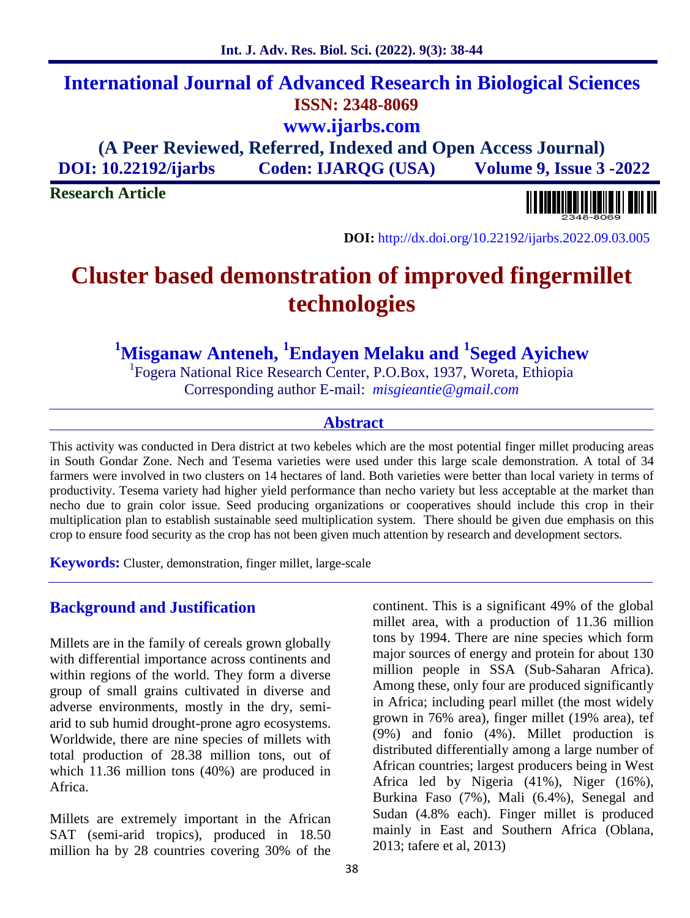**Int. J. Adv. Res. Biol. Sci. (2022). 9(3): 38-44**

**ISSN: 2348-8069**

**www.ijarbs.com**

**(A Peer Reviewed, Referred, Indexed and Open Access Journal) DOI: 10.22192/ijarbs Coden: IJARQG (USA) Volume 9, Issue 3 -2022**

**Research Article**



**DOI:** http://dx.doi.org/10.22192/ijarbs.2022.09.03.005

# **Cluster based demonstration of improved fingermillet technologies**

**<sup>1</sup>Misganaw Anteneh, <sup>1</sup>Endayen Melaku and <sup>1</sup>Seged Ayichew**

<sup>1</sup>Fogera National Rice Research Center, P.O.Box, 1937, Woreta, Ethiopia Corresponding author E-mail: *misgieantie@gmail.com*

#### **Abstract**

This activity was conducted in Dera district at two kebeles which are the most potential finger millet producing areas in South Gondar Zone. Nech and Tesema varieties were used under this large scale demonstration. A total of 34 farmers were involved in two clusters on 14 hectares of land. Both varieties were better than local variety in terms of productivity. Tesema variety had higher yield performance than necho variety but less acceptable at the market than necho due to grain color issue. Seed producing organizations or cooperatives should include this crop in their multiplication plan to establish sustainable seed multiplication system. There should be given due emphasis on this crop to ensure food security as the crop has not been given much attention by research and development sectors.

**Keywords:** Cluster, demonstration, finger millet, large-scale

# **Background and Justification**

Millets are in the family of cereals grown globally with differential importance across continents and within regions of the world. They form a diverse group of small grains cultivated in diverse and adverse environments, mostly in the dry, semi arid to sub humid drought-prone agro ecosystems. Worldwide, there are nine species of millets with total production of 28.38 million tons, out of which 11.36 million tons (40%) are produced in Africa.

Millets are extremely important in the African SAT (semi-arid tropics), produced in 18.50 million ha by 28 countries covering 30% of the

continent. This is a significant 49% of the global millet area, with a production of 11.36 million tons by 1994. There are nine species which form major sources of energy and protein for about 130 million people in SSA (Sub-Saharan Africa). Among these, only four are produced significantly in Africa; including pearl millet (the most widely grown in 76% area), finger millet (19% area), tef (9%) and fonio (4%). Millet production is distributed differentially among a large number of African countries; largest producers being in West Africa led by Nigeria (41%), Niger (16%), Burkina Faso (7%), Mali (6.4%), Senegal and Sudan (4.8% each). Finger millet is produced mainly in East and Southern Africa (Oblana, 2013; tafere et al, 2013)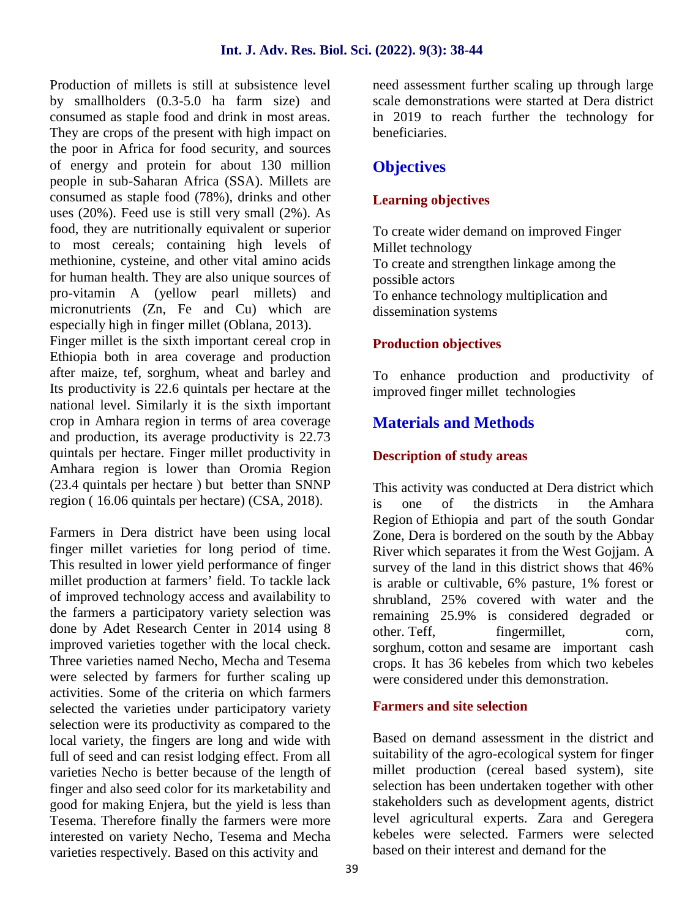Production of millets is still at subsistence level by smallholders (0.3-5.0 ha farm size) and consumed as staple food and drink in most areas. They are crops of the present with high impact on the poor in Africa for food security, and sources of energy and protein for about 130 million people in sub-Saharan Africa (SSA). Millets are consumed as staple food (78%), drinks and other uses (20%). Feed use is still very small (2%). As food, they are nutritionally equivalent or superior to most cereals; containing high levels of methionine, cysteine, and other vital amino acids for human health. They are also unique sources of pro-vitamin A (yellow pearl millets) and micronutrients (Zn, Fe and Cu) which are especially high in finger millet (Oblana, 2013). Finger millet is the sixth important cereal crop in Ethiopia both in area coverage and production after maize, tef, sorghum, wheat and barley and Its productivity is 22.6 quintals per hectare at the national level. Similarly it is the sixth important crop in Amhara region in terms of area coverage and production, its average productivity is 22.73

quintals per hectare. Finger millet productivity in Amhara region is lower than Oromia Region (23.4 quintals per hectare ) but better than SNNP region ( 16.06 quintals per hectare) (CSA, 2018).

Farmers in Dera district have been using local finger millet varieties for long period of time. This resulted in lower yield performance of finger millet production at farmers' field. To tackle lack of improved technology access and availability to the farmers a participatory variety selection was done by Adet Research Center in 2014 using 8 improved varieties together with the local check. Three varieties named Necho, Mecha and Tesema were selected by farmers for further scaling up activities. Some of the criteria on which farmers selected the varieties under participatory variety selection were its productivity as compared to the local variety, the fingers are long and wide with full of seed and can resist lodging effect. From all varieties Necho is better because of the length of finger and also seed color for its marketability and good for making Enjera, but the yield is less than Tesema. Therefore finally the farmers were more interested on variety Necho, Tesema and Mecha varieties respectively. Based on this activity and

need assessment further scaling up through large scale demonstrations were started at Dera district in 2019 to reach further the technology for beneficiaries.

# **Objectives**

# **Learning objectives**

To create wider demand on improved Finger Millet technology To create and strengthen linkage among the possible actors To enhance technology multiplication and dissemination systems

# **Production objectives**

To enhance production and productivity of improved finger millet technologies

# **Materials and Methods**

# **Description of study areas**

This activity was conducted at Dera district which is one of the districts in the Amhara Region of Ethiopia and part of the south Gondar Zone, Dera is bordered on the south by the Abbay River which separates it from the West Gojjam. A survey of the land in this district shows that 46% is arable or cultivable, 6% pasture, 1% forest or shrubland, 25% covered with water and the remaining 25.9% is considered degraded or fingermillet, corn, sorghum, cotton and sesame are important cash crops. It has 36 kebeles from which two kebeles were considered under this demonstration.

## **Farmers and site selection**

Based on demand assessment in the district and suitability of the agro-ecological system for finger millet production (cereal based system), site selection has been undertaken together with other stakeholders such as development agents, district level agricultural experts. Zara and Geregera kebeles were selected. Farmers were selected based on their interest and demand for the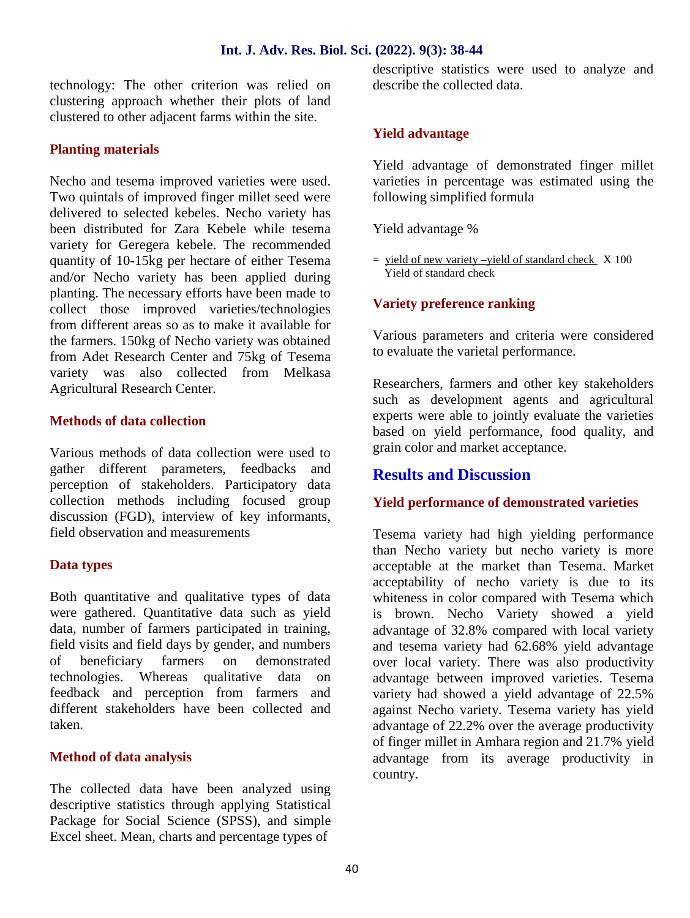#### **Int. J. Adv. Res. Biol. Sci. (2022). 9(3): 38-44**

technology: The other criterion was relied on clustering approach whether their plots of land clustered to other adjacent farms within the site.

#### **Planting materials**

Necho and tesema improved varieties were used. Two quintals of improved finger millet seed were delivered to selected kebeles. Necho variety has been distributed for Zara Kebele while tesema variety for Geregera kebele. The recommended quantity of 10-15kg per hectare of either Tesema and/or Necho variety has been applied during planting. The necessary efforts have been made to collect those improved varieties/technologies from different areas so as to make it available for the farmers. 150kg of Necho variety was obtained from Adet Research Center and 75kg of Tesema variety was also collected from Melkasa Agricultural Research Center.

#### **Methods of data collection**

Various methods of data collection were used to gather different parameters, feedbacks and perception of stakeholders. Participatory data collection methods including focused group discussion (FGD), interview of key informants, field observation and measurements

#### **Data types**

Both quantitative and qualitative types of data were gathered. Quantitative data such as yield data, number of farmers participated in training, field visits and field days by gender, and numbers of beneficiary farmers on demonstrated technologies. Whereas qualitative data on feedback and perception from farmers and different stakeholders have been collected and taken.

## **Method of data analysis**

The collected data have been analyzed using descriptive statistics through applying Statistical Package for Social Science (SPSS), and simple Excel sheet. Mean, charts and percentage types of

descriptive statistics were used to analyze and describe the collected data.

#### **Yield advantage**

Yield advantage of demonstrated finger millet varieties in percentage was estimated using the following simplified formula

Yield advantage %

 $=$  yield of new variety –yield of standard check  $X$  100 Yield of standard check

#### **Variety preference ranking**

Various parameters and criteria were considered to evaluate the varietal performance.

Researchers, farmers and other key stakeholders such as development agents and agricultural experts were able to jointly evaluate the varieties based on yield performance, food quality, and grain color and market acceptance.

# **Results and Discussion**

#### **Yield performance of demonstrated varieties**

Tesema variety had high yielding performance than Necho variety but necho variety is more acceptable at the market than Tesema. Market acceptability of necho variety is due to its whiteness in color compared with Tesema which is brown. Necho Variety showed a yield advantage of 32.8% compared with local variety and tesema variety had 62.68% yield advantage over local variety. There was also productivity advantage between improved varieties. Tesema variety had showed a yield advantage of 22.5% against Necho variety. Tesema variety has yield advantage of 22.2% over the average productivity of finger millet in Amhara region and 21.7% yield advantage from its average productivity in country.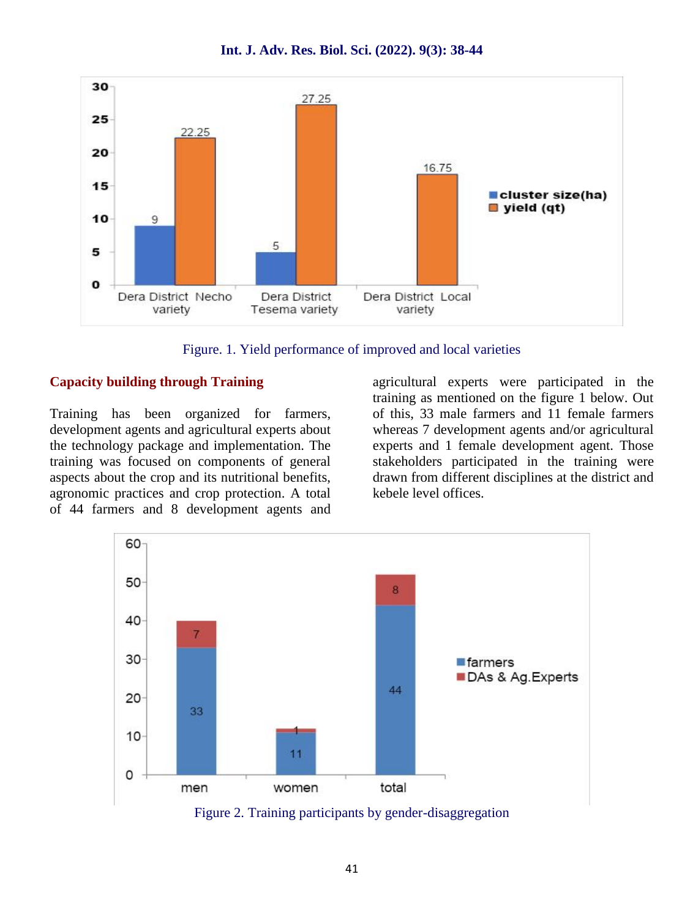

**Int. J. Adv. Res. Biol. Sci. (2022). 9(3): 38-44**

Figure. 1. Yield performance of improved and local varieties

#### **Capacity building through Training**

Training has been organized for farmers, development agents and agricultural experts about the technology package and implementation. The training was focused on components of general aspects about the crop and its nutritional benefits, agronomic practices and crop protection. A total of 44 farmers and 8 development agents and agricultural experts were participated in the training as mentioned on the figure 1 below. Out of this, 33 male farmers and 11 female farmers whereas 7 development agents and/or agricultural experts and 1 female development agent. Those stakeholders participated in the training were drawn from different disciplines at the district and kebele level offices.



Figure 2. Training participants by gender-disaggregation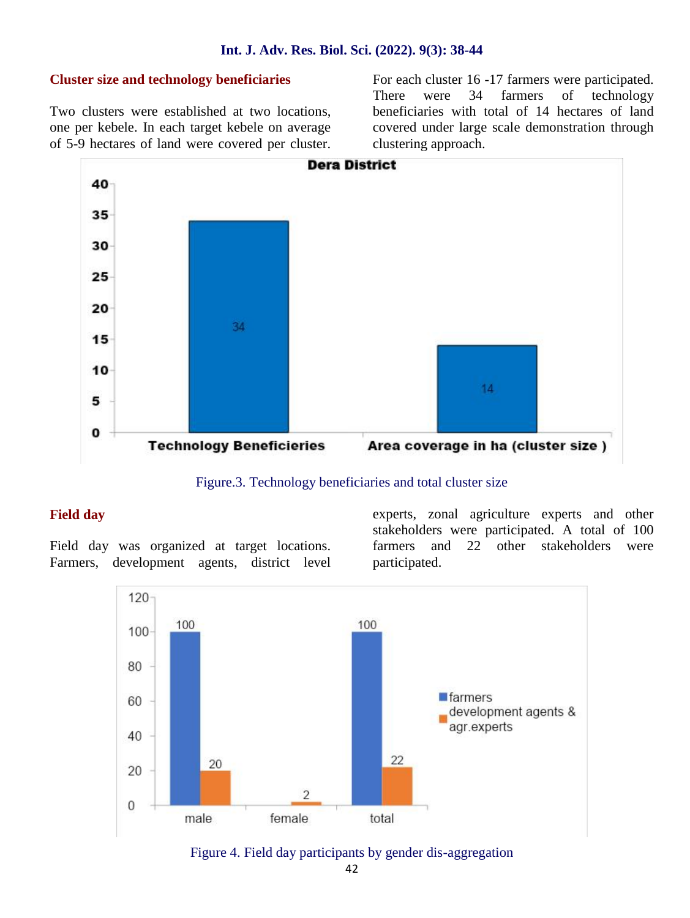#### **Int. J. Adv. Res. Biol. Sci. (2022). 9(3): 38-44**

#### **Cluster size and technology beneficiaries**

Two clusters were established at two locations, one per kebele. In each target kebele on average of 5-9 hectares of land were covered per cluster. For each cluster 16 -17 farmers were participated. There were 34 farmers of technology beneficiaries with total of 14 hectares of land covered under large scale demonstration through clustering approach.



Figure.3. Technology beneficiaries and total cluster size

#### **Field day**

Field day was organized at target locations. Farmers, development agents, district level

experts, zonal agriculture experts and other stakeholders were participated. A total of 100 farmers and 22 other stakeholders were participated.



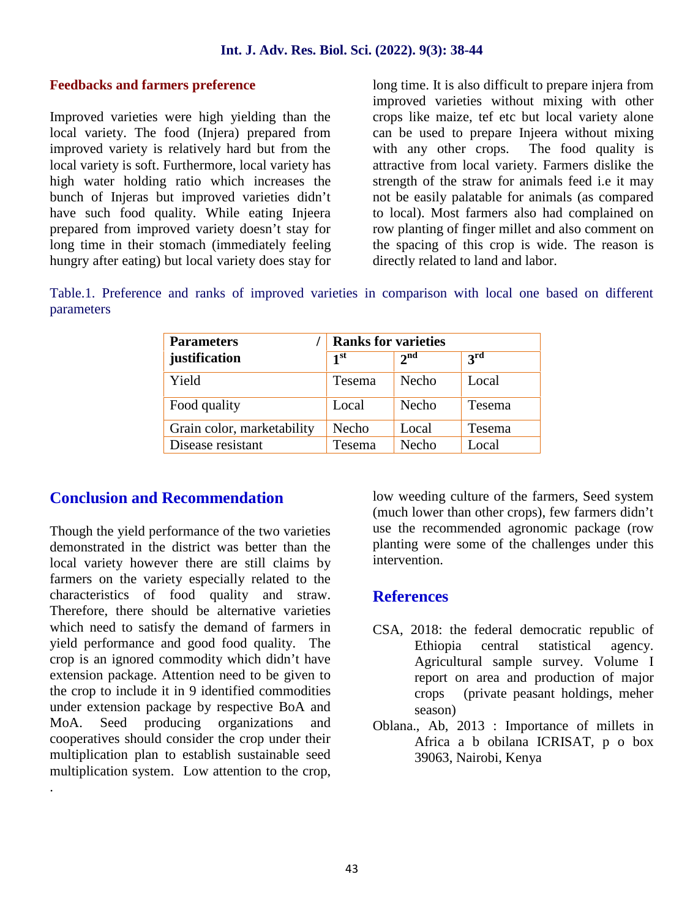#### **Feedbacks and farmers preference**

Improved varieties were high yielding than the local variety. The food (Injera) prepared from improved variety is relatively hard but from the local variety is soft. Furthermore, local variety has high water holding ratio which increases the bunch of Injeras but improved varieties didn't have such food quality. While eating Injeera prepared from improved variety doesn't stay for long time in their stomach (immediately feeling hungry after eating) but local variety does stay for

long time. It is also difficult to prepare injera from improved varieties without mixing with other crops like maize, tef etc but local variety alone can be used to prepare Injeera without mixing with any other crops. The food quality is attractive from local variety. Farmers dislike the strength of the straw for animals feed i.e it may not be easily palatable for animals (as compared to local). Most farmers also had complained on row planting of finger millet and also comment on the spacing of this crop is wide. The reason is directly related to land and labor.

Table.1. Preference and ranks of improved varieties in comparison with local one based on different parameters

| <b>Parameters</b>          | <b>Ranks for varieties</b> |                 |               |
|----------------------------|----------------------------|-----------------|---------------|
| justification              | 1 <sup>st</sup>            | 2 <sup>nd</sup> | $3^{\rm rd}$  |
| Yield                      | <b>Tesema</b>              | <b>Necho</b>    | Local         |
| Food quality               | Local                      | Necho           | <b>Tesema</b> |
| Grain color, marketability | Necho                      | Local           | Tesema        |
| Disease resistant          | Tesema                     | Necho           | Local         |

# **Conclusion and Recommendation**

Though the yield performance of the two varieties demonstrated in the district was better than the local variety however there are still claims by farmers on the variety especially related to the characteristics of food quality and straw. Therefore, there should be alternative varieties which need to satisfy the demand of farmers in yield performance and good food quality. The crop is an ignored commodity which didn't have extension package. Attention need to be given to the crop to include it in 9 identified commodities under extension package by respective BoA and MoA. Seed producing organizations and cooperatives should consider the crop under their multiplication plan to establish sustainable seed multiplication system. Low attention to the crop,

.

low weeding culture of the farmers, Seed system (much lower than other crops), few farmers didn't use the recommended agronomic package (row planting were some of the challenges under this intervention.

## **References**

- CSA, 2018: the federal democratic republic of Ethiopia central statistical agency. Agricultural sample survey. Volume I report on area and production of major crops (private peasant holdings, meher season)
- Oblana., Ab, 2013 : Importance of millets in Africa a b obilana ICRISAT, p o box 39063, Nairobi, Kenya